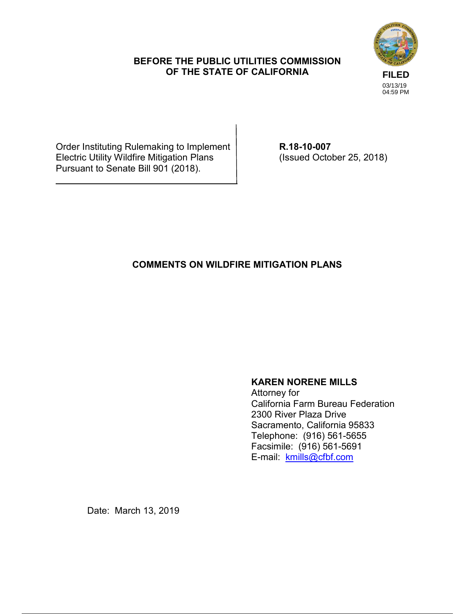### **BEFORE THE PUBLIC UTILITIES COMMISSION OF THE STATE OF CALIFORNIA**



Order Instituting Rulemaking to Implement **R.18-10-007**<br>Electric Utility Wildfire Mitigation Plans (Issued October 25, 2018) Electric Utility Wildfire Mitigation Plans Pursuant to Senate Bill 901 (2018).

# **COMMENTS ON WILDFIRE MITIGATION PLANS**

## **KAREN NORENE MILLS**

Attorney for California Farm Bureau Federation 2300 River Plaza Drive Sacramento, California 95833 Telephone: (916) 561-5655 Facsimile: (916) 561-5691 E-mail: kmills@cfbf.com

Date: March 13, 2019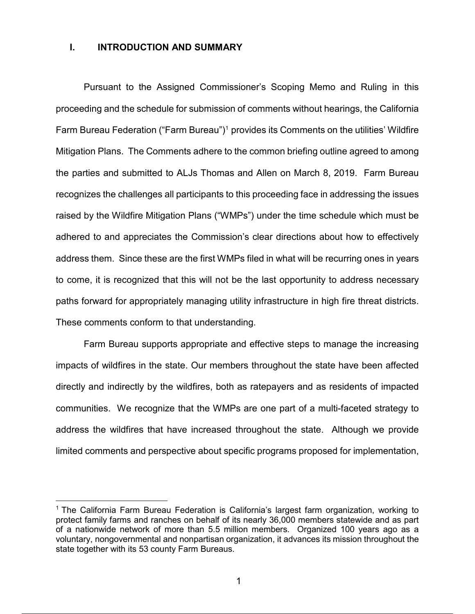#### **I. INTRODUCTION AND SUMMARY**

Pursuant to the Assigned Commissioner's Scoping Memo and Ruling in this proceeding and the schedule for submission of comments without hearings, the California Farm Bureau Federation ("Farm Bureau")<sup>1</sup> provides its Comments on the utilities' Wildfire Mitigation Plans. The Comments adhere to the common briefing outline agreed to among the parties and submitted to ALJs Thomas and Allen on March 8, 2019. Farm Bureau recognizes the challenges all participants to this proceeding face in addressing the issues raised by the Wildfire Mitigation Plans ("WMPs") under the time schedule which must be adhered to and appreciates the Commission's clear directions about how to effectively address them. Since these are the first WMPs filed in what will be recurring ones in years to come, it is recognized that this will not be the last opportunity to address necessary paths forward for appropriately managing utility infrastructure in high fire threat districts. These comments conform to that understanding.

Farm Bureau supports appropriate and effective steps to manage the increasing impacts of wildfires in the state. Our members throughout the state have been affected directly and indirectly by the wildfires, both as ratepayers and as residents of impacted communities. We recognize that the WMPs are one part of a multi-faceted strategy to address the wildfires that have increased throughout the state. Although we provide limited comments and perspective about specific programs proposed for implementation,

 $\overline{a}$ 

<sup>1</sup> The California Farm Bureau Federation is California's largest farm organization, working to protect family farms and ranches on behalf of its nearly 36,000 members statewide and as part of a nationwide network of more than 5.5 million members. Organized 100 years ago as a voluntary, nongovernmental and nonpartisan organization, it advances its mission throughout the state together with its 53 county Farm Bureaus.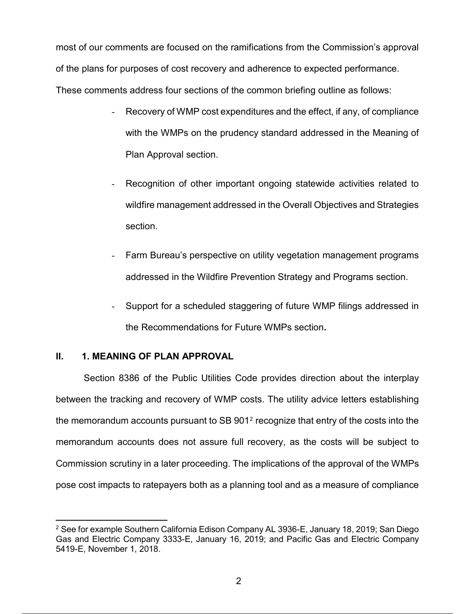most of our comments are focused on the ramifications from the Commission's approval of the plans for purposes of cost recovery and adherence to expected performance. These comments address four sections of the common briefing outline as follows:

- Recovery of WMP cost expenditures and the effect, if any, of compliance with the WMPs on the prudency standard addressed in the Meaning of Plan Approval section.
- Recognition of other important ongoing statewide activities related to wildfire management addressed in the Overall Objectives and Strategies section.
- Farm Bureau's perspective on utility vegetation management programs addressed in the Wildfire Prevention Strategy and Programs section.
- Support for a scheduled staggering of future WMP filings addressed in the Recommendations for Future WMPs section**.**

## **II. 1. MEANING OF PLAN APPROVAL**

Section 8386 of the Public Utilities Code provides direction about the interplay between the tracking and recovery of WMP costs. The utility advice letters establishing the memorandum accounts pursuant to SB 9012 recognize that entry of the costs into the memorandum accounts does not assure full recovery, as the costs will be subject to Commission scrutiny in a later proceeding. The implications of the approval of the WMPs pose cost impacts to ratepayers both as a planning tool and as a measure of compliance

 $\overline{a}$  $2$  See for example Southern California Edison Company AL 3936-E, January 18, 2019; San Diego Gas and Electric Company 3333-E, January 16, 2019; and Pacific Gas and Electric Company 5419-E, November 1, 2018.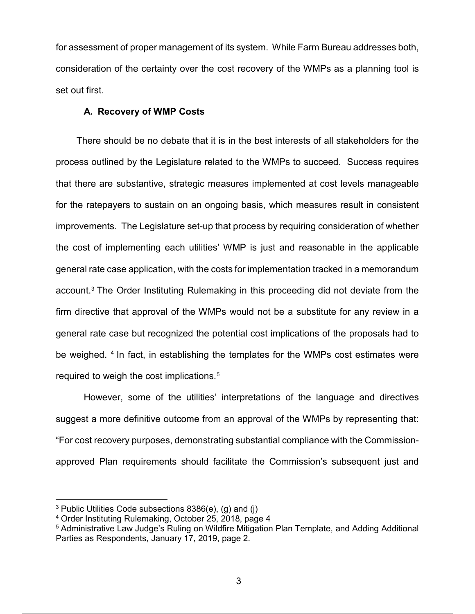for assessment of proper management of its system. While Farm Bureau addresses both, consideration of the certainty over the cost recovery of the WMPs as a planning tool is set out first.

#### **A. Recovery of WMP Costs**

 There should be no debate that it is in the best interests of all stakeholders for the process outlined by the Legislature related to the WMPs to succeed. Success requires that there are substantive, strategic measures implemented at cost levels manageable for the ratepayers to sustain on an ongoing basis, which measures result in consistent improvements. The Legislature set-up that process by requiring consideration of whether the cost of implementing each utilities' WMP is just and reasonable in the applicable general rate case application, with the costs for implementation tracked in a memorandum account.3 The Order Instituting Rulemaking in this proceeding did not deviate from the firm directive that approval of the WMPs would not be a substitute for any review in a general rate case but recognized the potential cost implications of the proposals had to be weighed. 4 In fact, in establishing the templates for the WMPs cost estimates were required to weigh the cost implications.<sup>5</sup>

However, some of the utilities' interpretations of the language and directives suggest a more definitive outcome from an approval of the WMPs by representing that: "For cost recovery purposes, demonstrating substantial compliance with the Commissionapproved Plan requirements should facilitate the Commission's subsequent just and

<sup>3</sup> Public Utilities Code subsections 8386(e), (g) and (j)

<sup>4</sup> Order Instituting Rulemaking, October 25, 2018, page 4

<sup>5</sup> Administrative Law Judge's Ruling on Wildfire Mitigation Plan Template, and Adding Additional Parties as Respondents, January 17, 2019, page 2.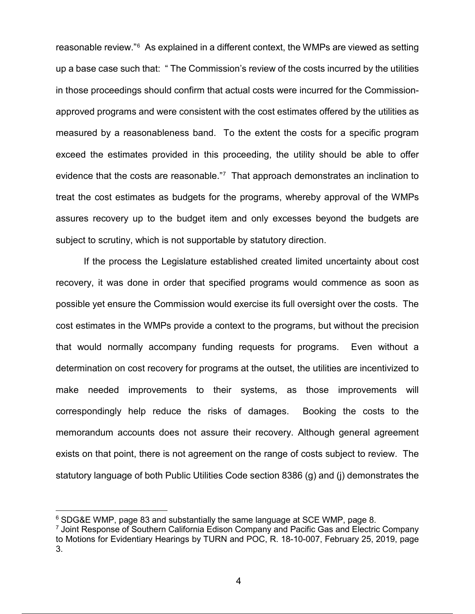reasonable review."6 As explained in a different context, the WMPs are viewed as setting up a base case such that: " The Commission's review of the costs incurred by the utilities in those proceedings should confirm that actual costs were incurred for the Commissionapproved programs and were consistent with the cost estimates offered by the utilities as measured by a reasonableness band. To the extent the costs for a specific program exceed the estimates provided in this proceeding, the utility should be able to offer evidence that the costs are reasonable."7 That approach demonstrates an inclination to treat the cost estimates as budgets for the programs, whereby approval of the WMPs assures recovery up to the budget item and only excesses beyond the budgets are subject to scrutiny, which is not supportable by statutory direction.

If the process the Legislature established created limited uncertainty about cost recovery, it was done in order that specified programs would commence as soon as possible yet ensure the Commission would exercise its full oversight over the costs. The cost estimates in the WMPs provide a context to the programs, but without the precision that would normally accompany funding requests for programs. Even without a determination on cost recovery for programs at the outset, the utilities are incentivized to make needed improvements to their systems, as those improvements will correspondingly help reduce the risks of damages. Booking the costs to the memorandum accounts does not assure their recovery. Although general agreement exists on that point, there is not agreement on the range of costs subject to review. The statutory language of both Public Utilities Code section 8386 (g) and (j) demonstrates the

<sup>6</sup> SDG&E WMP, page 83 and substantially the same language at SCE WMP, page 8.

 $7$  Joint Response of Southern California Edison Company and Pacific Gas and Electric Company to Motions for Evidentiary Hearings by TURN and POC, R. 18-10-007, February 25, 2019, page 3.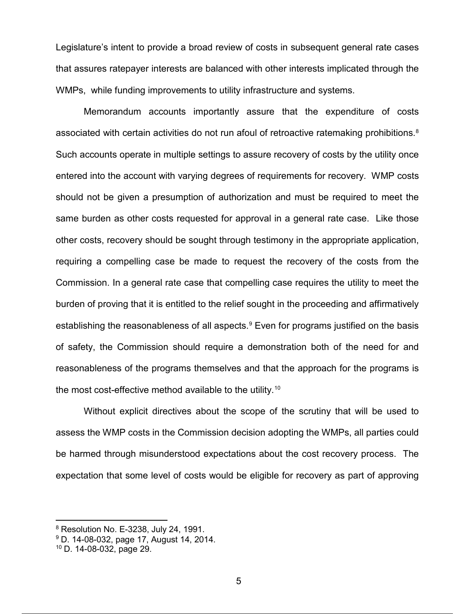Legislature's intent to provide a broad review of costs in subsequent general rate cases that assures ratepayer interests are balanced with other interests implicated through the WMPs, while funding improvements to utility infrastructure and systems.

Memorandum accounts importantly assure that the expenditure of costs associated with certain activities do not run afoul of retroactive ratemaking prohibitions.<sup>8</sup> Such accounts operate in multiple settings to assure recovery of costs by the utility once entered into the account with varying degrees of requirements for recovery. WMP costs should not be given a presumption of authorization and must be required to meet the same burden as other costs requested for approval in a general rate case. Like those other costs, recovery should be sought through testimony in the appropriate application, requiring a compelling case be made to request the recovery of the costs from the Commission. In a general rate case that compelling case requires the utility to meet the burden of proving that it is entitled to the relief sought in the proceeding and affirmatively establishing the reasonableness of all aspects.<sup>9</sup> Even for programs justified on the basis of safety, the Commission should require a demonstration both of the need for and reasonableness of the programs themselves and that the approach for the programs is the most cost-effective method available to the utility.10

Without explicit directives about the scope of the scrutiny that will be used to assess the WMP costs in the Commission decision adopting the WMPs, all parties could be harmed through misunderstood expectations about the cost recovery process. The expectation that some level of costs would be eligible for recovery as part of approving

<sup>8</sup> Resolution No. E-3238, July 24, 1991.

<sup>9</sup> D. 14-08-032, page 17, August 14, 2014.

<sup>10</sup> D. 14-08-032, page 29.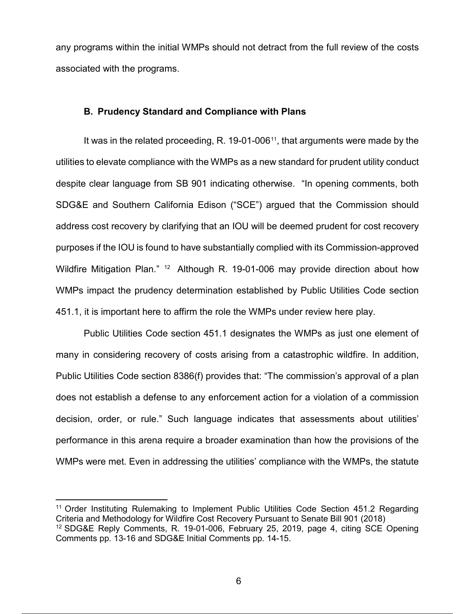any programs within the initial WMPs should not detract from the full review of the costs associated with the programs.

#### **B. Prudency Standard and Compliance with Plans**

It was in the related proceeding, R. 19-01-006 $11$ , that arguments were made by the utilities to elevate compliance with the WMPs as a new standard for prudent utility conduct despite clear language from SB 901 indicating otherwise. "In opening comments, both SDG&E and Southern California Edison ("SCE") argued that the Commission should address cost recovery by clarifying that an IOU will be deemed prudent for cost recovery purposes if the IOU is found to have substantially complied with its Commission-approved Wildfire Mitigation Plan." <sup>12</sup> Although R. 19-01-006 may provide direction about how WMPs impact the prudency determination established by Public Utilities Code section 451.1, it is important here to affirm the role the WMPs under review here play.

Public Utilities Code section 451.1 designates the WMPs as just one element of many in considering recovery of costs arising from a catastrophic wildfire. In addition, Public Utilities Code section 8386(f) provides that: "The commission's approval of a plan does not establish a defense to any enforcement action for a violation of a commission decision, order, or rule." Such language indicates that assessments about utilities' performance in this arena require a broader examination than how the provisions of the WMPs were met. Even in addressing the utilities' compliance with the WMPs, the statute

<sup>11</sup> Order Instituting Rulemaking to Implement Public Utilities Code Section 451.2 Regarding Criteria and Methodology for Wildfire Cost Recovery Pursuant to Senate Bill 901 (2018) <sup>12</sup> SDG&E Reply Comments, R. 19-01-006, February 25, 2019, page 4, citing SCE Opening Comments pp. 13-16 and SDG&E Initial Comments pp. 14-15.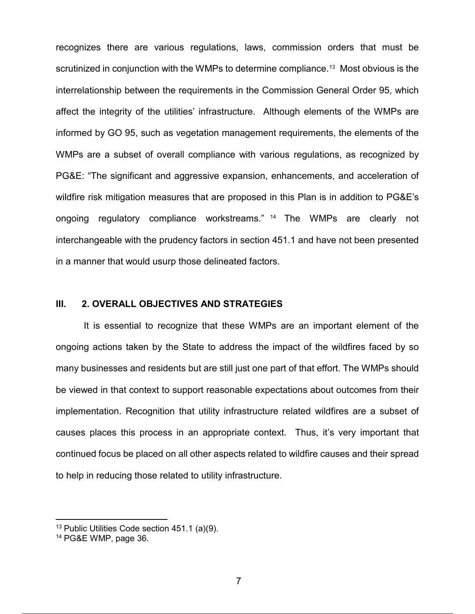recognizes there are various regulations, laws, commission orders that must be scrutinized in conjunction with the WMPs to determine compliance.<sup>13</sup> Most obvious is the interrelationship between the requirements in the Commission General Order 95, which affect the integrity of the utilities' infrastructure. Although elements of the WMPs are informed by GO 95, such as vegetation management requirements, the elements of the WMPs are a subset of overall compliance with various regulations, as recognized by PG&E: "The significant and aggressive expansion, enhancements, and acceleration of wildfire risk mitigation measures that are proposed in this Plan is in addition to PG&E's ongoing regulatory compliance workstreams." <sup>14</sup> The WMPs are clearly not interchangeable with the prudency factors in section 451.1 and have not been presented in a manner that would usurp those delineated factors.

# **III. 2. OVERALL OBJECTIVES AND STRATEGIES**

It is essential to recognize that these WMPs are an important element of the ongoing actions taken by the State to address the impact of the wildfires faced by so many businesses and residents but are still just one part of that effort. The WMPs should be viewed in that context to support reasonable expectations about outcomes from their implementation. Recognition that utility infrastructure related wildfires are a subset of causes places this process in an appropriate context. Thus, it's very important that continued focus be placed on all other aspects related to wildfire causes and their spread to help in reducing those related to utility infrastructure.

 $13$  Public Utilities Code section 451.1 (a)(9).

<sup>14</sup> PG&E WMP, page 36.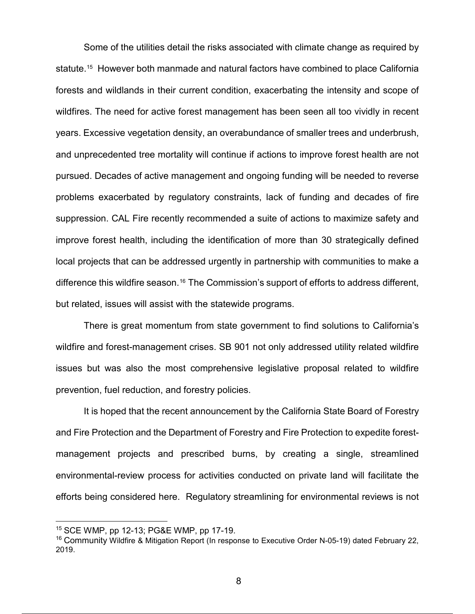Some of the utilities detail the risks associated with climate change as required by statute. <sup>15</sup> However both manmade and natural factors have combined to place California forests and wildlands in their current condition, exacerbating the intensity and scope of wildfires. The need for active forest management has been seen all too vividly in recent years. Excessive vegetation density, an overabundance of smaller trees and underbrush, and unprecedented tree mortality will continue if actions to improve forest health are not pursued. Decades of active management and ongoing funding will be needed to reverse problems exacerbated by regulatory constraints, lack of funding and decades of fire suppression. CAL Fire recently recommended a suite of actions to maximize safety and improve forest health, including the identification of more than 30 strategically defined local projects that can be addressed urgently in partnership with communities to make a difference this wildfire season.<sup>16</sup> The Commission's support of efforts to address different, but related, issues will assist with the statewide programs.

There is great momentum from state government to find solutions to California's wildfire and forest-management crises. SB 901 not only addressed utility related wildfire issues but was also the most comprehensive legislative proposal related to wildfire prevention, fuel reduction, and forestry policies.

It is hoped that the recent announcement by the California State Board of Forestry and Fire Protection and the Department of Forestry and Fire Protection to expedite forestmanagement projects and prescribed burns, by creating a single, streamlined environmental-review process for activities conducted on private land will facilitate the efforts being considered here. Regulatory streamlining for environmental reviews is not

<sup>15</sup> SCE WMP, pp 12-13; PG&E WMP, pp 17-19.

<sup>16</sup> Community Wildfire & Mitigation Report (In response to Executive Order N-05-19) dated February 22, 2019.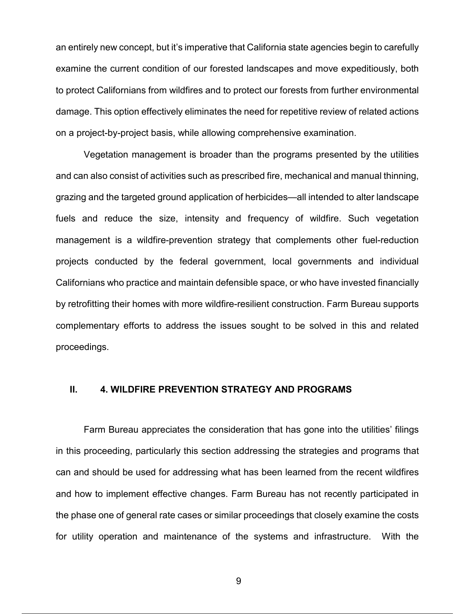an entirely new concept, but it's imperative that California state agencies begin to carefully examine the current condition of our forested landscapes and move expeditiously, both to protect Californians from wildfires and to protect our forests from further environmental damage. This option effectively eliminates the need for repetitive review of related actions on a project-by-project basis, while allowing comprehensive examination.

Vegetation management is broader than the programs presented by the utilities and can also consist of activities such as prescribed fire, mechanical and manual thinning, grazing and the targeted ground application of herbicides—all intended to alter landscape fuels and reduce the size, intensity and frequency of wildfire. Such vegetation management is a wildfire-prevention strategy that complements other fuel-reduction projects conducted by the federal government, local governments and individual Californians who practice and maintain defensible space, or who have invested financially by retrofitting their homes with more wildfire-resilient construction. Farm Bureau supports complementary efforts to address the issues sought to be solved in this and related proceedings.

#### **II. 4. WILDFIRE PREVENTION STRATEGY AND PROGRAMS**

Farm Bureau appreciates the consideration that has gone into the utilities' filings in this proceeding, particularly this section addressing the strategies and programs that can and should be used for addressing what has been learned from the recent wildfires and how to implement effective changes. Farm Bureau has not recently participated in the phase one of general rate cases or similar proceedings that closely examine the costs for utility operation and maintenance of the systems and infrastructure. With the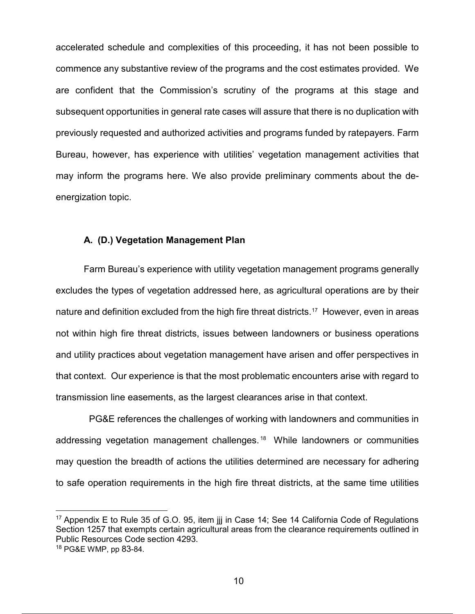accelerated schedule and complexities of this proceeding, it has not been possible to commence any substantive review of the programs and the cost estimates provided. We are confident that the Commission's scrutiny of the programs at this stage and subsequent opportunities in general rate cases will assure that there is no duplication with previously requested and authorized activities and programs funded by ratepayers. Farm Bureau, however, has experience with utilities' vegetation management activities that may inform the programs here. We also provide preliminary comments about the deenergization topic.

#### **A. (D.) Vegetation Management Plan**

Farm Bureau's experience with utility vegetation management programs generally excludes the types of vegetation addressed here, as agricultural operations are by their nature and definition excluded from the high fire threat districts.<sup>17</sup> However, even in areas not within high fire threat districts, issues between landowners or business operations and utility practices about vegetation management have arisen and offer perspectives in that context. Our experience is that the most problematic encounters arise with regard to transmission line easements, as the largest clearances arise in that context.

 PG&E references the challenges of working with landowners and communities in addressing vegetation management challenges. 18 While landowners or communities may question the breadth of actions the utilities determined are necessary for adhering to safe operation requirements in the high fire threat districts, at the same time utilities

<sup>&</sup>lt;sup>17</sup> Appendix E to Rule 35 of G.O. 95, item jij in Case 14; See 14 California Code of Regulations Section 1257 that exempts certain agricultural areas from the clearance requirements outlined in Public Resources Code section 4293.

<sup>18</sup> PG&E WMP, pp 83-84.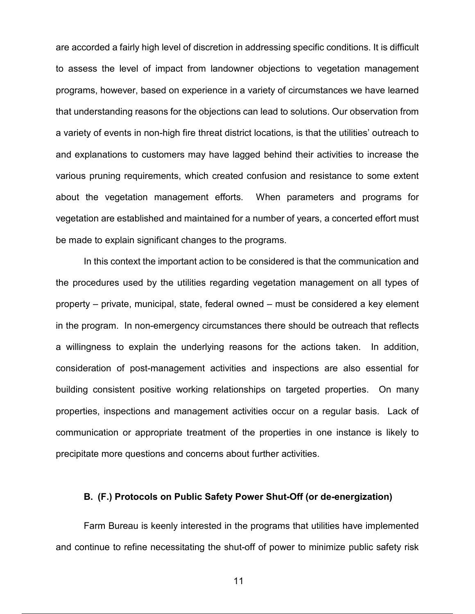are accorded a fairly high level of discretion in addressing specific conditions. It is difficult to assess the level of impact from landowner objections to vegetation management programs, however, based on experience in a variety of circumstances we have learned that understanding reasons for the objections can lead to solutions. Our observation from a variety of events in non-high fire threat district locations, is that the utilities' outreach to and explanations to customers may have lagged behind their activities to increase the various pruning requirements, which created confusion and resistance to some extent about the vegetation management efforts. When parameters and programs for vegetation are established and maintained for a number of years, a concerted effort must be made to explain significant changes to the programs.

In this context the important action to be considered is that the communication and the procedures used by the utilities regarding vegetation management on all types of property – private, municipal, state, federal owned – must be considered a key element in the program. In non-emergency circumstances there should be outreach that reflects a willingness to explain the underlying reasons for the actions taken. In addition, consideration of post-management activities and inspections are also essential for building consistent positive working relationships on targeted properties. On many properties, inspections and management activities occur on a regular basis. Lack of communication or appropriate treatment of the properties in one instance is likely to precipitate more questions and concerns about further activities.

#### **B. (F.) Protocols on Public Safety Power Shut-Off (or de-energization)**

Farm Bureau is keenly interested in the programs that utilities have implemented and continue to refine necessitating the shut-off of power to minimize public safety risk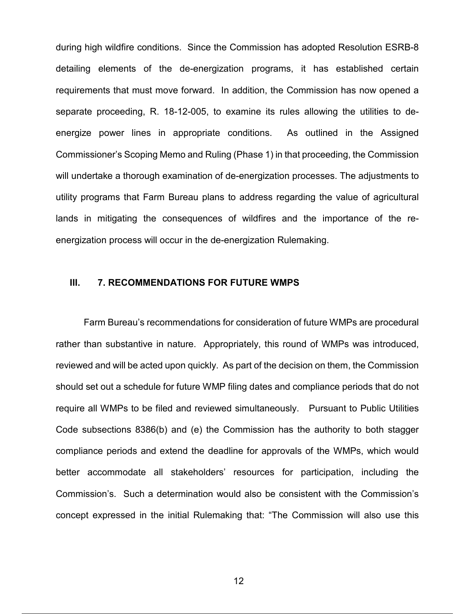during high wildfire conditions. Since the Commission has adopted Resolution ESRB-8 detailing elements of the de-energization programs, it has established certain requirements that must move forward. In addition, the Commission has now opened a separate proceeding, R. 18-12-005, to examine its rules allowing the utilities to deenergize power lines in appropriate conditions. As outlined in the Assigned Commissioner's Scoping Memo and Ruling (Phase 1) in that proceeding, the Commission will undertake a thorough examination of de-energization processes. The adjustments to utility programs that Farm Bureau plans to address regarding the value of agricultural lands in mitigating the consequences of wildfires and the importance of the reenergization process will occur in the de-energization Rulemaking.

# **III. 7. RECOMMENDATIONS FOR FUTURE WMPS**

Farm Bureau's recommendations for consideration of future WMPs are procedural rather than substantive in nature. Appropriately, this round of WMPs was introduced, reviewed and will be acted upon quickly. As part of the decision on them, the Commission should set out a schedule for future WMP filing dates and compliance periods that do not require all WMPs to be filed and reviewed simultaneously. Pursuant to Public Utilities Code subsections 8386(b) and (e) the Commission has the authority to both stagger compliance periods and extend the deadline for approvals of the WMPs, which would better accommodate all stakeholders' resources for participation, including the Commission's. Such a determination would also be consistent with the Commission's concept expressed in the initial Rulemaking that: "The Commission will also use this